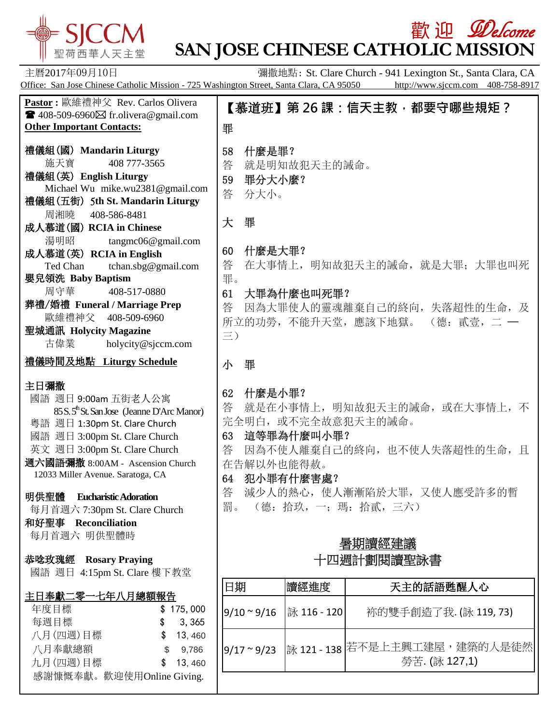

感謝慷慨奉獻。歡迎使用Online Giving.

## **歡 迎** *Welcome* **SAN JOSE CHINESE CATHOLIC MISSION**

主曆2017年09月10日 **Example 2017年09月10日 Tracker St. Clare Church** - 941 Lexington St., Santa Clara, CA Office: San Jose Chinese Catholic Mission - 725 Washington Street, Santa Clara, CA 95050 http://www.sjccm.com 408-758-8917 **Pastor :** 歐維禮神父 Rev. Carlos Olivera  $\blacksquare$  408-509-6960 $\boxtimes$  fr.olivera@gmail.com **Other Important Contacts:** 禮儀組(國) **Mandarin Liturgy** 施天寶 408 777-3565 禮儀組(英) **English Liturgy** Michael Wu mike.wu2381@gmail.com 禮儀組(五街) 5**th St. Mandarin Liturgy** 周湘曉 408-586-8481 成人慕道(國) **RCIA in Chinese** 湯明昭 tangmc06@gmail.com 成人慕道(英) **RCIA in English** Ted Chan tchan.sbg@gmail.com 嬰兒領洗 **Baby Baptism** 周守華 408-517-0880 葬禮/婚禮 **Funeral / Marriage Prep** 歐維禮神父 408-509-6960 聖城通訊 **Holycity Magazine** 古偉業 [holycity@sjccm.com](mailto:holycity@sjccm.com) 禮儀時間及地點 **Liturgy Schedule** 主日彌撒 國語 週日 9:00am 五街老人公寓 85 S. 5<sup>th</sup> St. San Jose (Jeanne D'Arc Manor) 粵語 週日 1:30pm St. Clare Church 國語 週日 3:00pm St. Clare Church 英文 週日 3:00pm St. Clare Church 週六國語彌撒 8:00AM - Ascension Church 12033 Miller Avenue. Saratoga, CA 明供聖體 **Eucharistic Adoration** 每月首週六 7:30pm St. Clare Church 和好聖事 **Reconciliation** 每月首週六 明供聖體時 恭唸玫瑰經 **Rosary Praying** 國語 週日 4:15pm St. Clare 樓下教堂 主日奉獻二零一七年八月總額報告 年度目標 \$ 175,000 每週目標 \$ 3,365 八月(四週)目標 \$ 13, 460 八月奉獻總額 \$ 9,786 九月(四週)目標 \$ 13, 460 【慕道班】**第 26 課:信天主教,都要守哪些規矩?** 罪 58 什麼是罪? 答 就是明知故犯天主的誡命。 59 罪分大小麼? 答 分大小。 大 罪 60 什麼是大罪? 答 在大事情上,明知故犯天主的誡命, 就是大罪;大罪也叫死 罪。 61 大罪為什麼也叫死罪? 答 因為大罪使人的靈魂離棄自己的終向, 失落超性的生命, 及 所立的功勞,不能升天堂,應該下地獄。(德:貳壹,二一 三) 小 罪 62 什麼是小罪? 答 就是在小事情上,明知故犯天主的誡命,或在大事情上,不 完全明白,或不完全故意犯天主的誡命。 63 這等罪為什麼叫小罪? 答 因為不使人離棄自己的終向,也不使人失落超性的生命,且 在告解以外也能得赦。 64 犯小罪有什麼害處? 答 減少人的熱心,使人漸漸陷於大罪,又使人應受許多的暫 罰。 (德: 拾玖, 一: 瑪: 拾貳, 三六) 暑期讀經建議 十四週計劃閱讀聖詠書 日期 讀經進度 天主的話語甦醒人心 9/10 ~ 9/16 詠 116 - 120 袮的雙手創造了我. (詠 119, 73) 9/17~9/23 詠 121 - 138 若不是上主興工建屋,建築的人是徒然 勞苦. (詠 127,1)